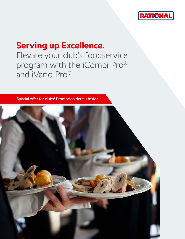

### **Serving up Excellence.**

Elevate your club's foodservice program with the iCombi Pro® and iVario Pro®.

Special offer for clubs! Promotion details inside.

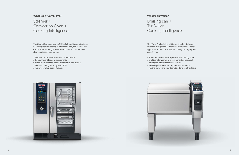### **What is an iCombi Pro?**

### Steamer + Convection Oven + Cooking Intelligence.

### **What is an iVario?**

### Braising pan + Tilt Skillet + Cooking Intelligence.

The iCombi Pro covers up to 90% of all cooking applications. Featuring market-leading combi technology, the iCombi Pro can fry, bake, roast, grill, steam and poach – all in one selfcleaning piece of equipment.

- › Prepare a wide variety of foods in one device
- › Cook different foods at the same time
- › Achieve outstanding results at the touch of a button
- $\rightarrow$  Reduce cooking times by up to 50%
- › Improve kitchen cost-efficiency



The iVario Pro looks like a tilting skillet, but it does a lot more! It surpasses and replaces many conventional appliances with its capability for boiling, pan frying and deep frying.

- › Speed and power reduce preheat and cooking times
- › Intelligent temperature measurement adjusts cook settings to ensure consistent results
- $\rightarrow$  Notifies you when food requires your attention, freeing up you and your team to attend to other tasks

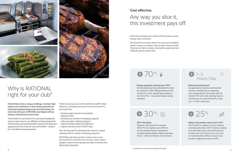**Club kitchens have a unique challenge: maintain high quality and consistency in their dining experiences while also keeping things fresh and interesting. For more than 20 years, RATIONAL has helped culinary teams in club kitchens do just that.**

The iCombi Pro and iVario Pro cook food intelligently and are super easy to use. Efficient and fast production of both large and small quantities improve the taste and appearance of the foods on bars and buffets – perfect for centralized meal preparation.

Cook more exciting menu items with less space, waste, energy, labor and stress.

The iCombi Pro and the iVario Pro aren't just intelligent when it comes to cooking. They're smart savers as well. They save on labor, energy consumption, space and raw materials, just to name a few.

# $\bigcirc$  70% a





## Why is RATIONAL right for your club?

### **Cost effective.**

## Any way you slice it, this investment pays off.

#### **30%\* less space**

Together, the iCombi Pro and the iVario Pro can replace up to 90% of all conventional kitchen equipment. Goodbye tilting skillets, kettles and deep fryers – hello to freedom of movement.

**Reduce raw product use by up to 25%\*** The iCombi Pro adjusts its own cooking processes precisely, which reduces cooking and trimming losses. And nothing burns or boils over in the iVario Pro, so no risk of ruined batches. Which cuts your raw product usage by as much as 25%.

#### **Reduced working time\***

Say goodbye to routine activities like turning, checking and re-adjusting oven temperatures. Save time with the iCombi Pro's ultra-fast cleaning feature and the easy-to-clean iVario Pro. Frees up 1–2 hours every day.







**Energy expenses reduced up to 70%\*** Short preheating times eliminate the need for stand-by mode. Rolling batches in the iCombi Pro, zone-specific pan heating in the iVario Pro – two great energy-saving solutions.



Preferred by executive chefs and kitchen staff for their efficiency, versatility and ease of use, the iCombi Pro and iVario Pro:

- › Produce large volumes of consistent, delicious food
- › Increase your kitchen's throughput capacity with overnight cooking programs
- › Improve kitchen safety and efficiency
- › Capture and document HACCP data

Plus, the iCombi Pro eliminates the need for manual cleaning with it's variety of cleaning programs.

RATIONAL will help you find creative ways to use the iCombi Pro and iVario Pro to lower costs, stretch budgets, improve food quality and cater to diverse and discerning taste buds.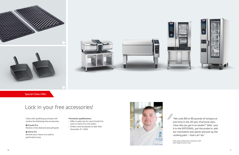Special Clubs Offer

## Lock in your free accessories!

Clubs with qualifying purchases will receive the following free accessories.

#### 1 **iCombi Pro**

Receive a free diamond and grill grate

#### 2 **iVario Pro**

Receive your choice of a solid or perforated scoop

### **Promotion qualifications:**

- › Offer is valid only for new iCombi Pro and/or iVario Pro unit orders
- › Orders must be placed no later than December 31, 2022











"We cook 80 to 90 pounds of octopus at  $\frac{1}{2}$ one time in the 20-pan. Everyone asks, 'How did you get it so tender?' Well, I put it in the RATIONAL, put the probe in, add our marination and spices and pull up the cooking path – that's all I do."

Chef James Haberstroh, Executive Chef Glen Ridge Country Club